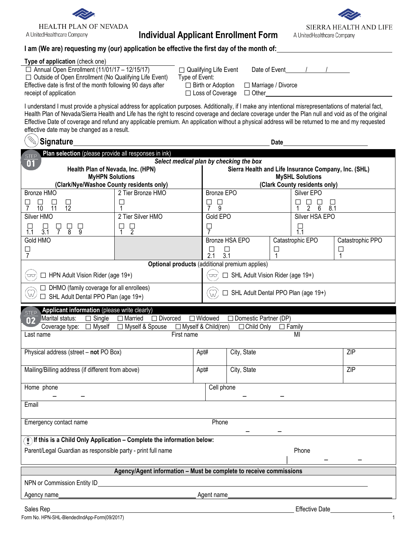

# **Individual Applicant Enrollment Form**



## **I am (We are) requesting my (our) application be effective the first day of the month of:**

| Type of application (check one)                              |                         |
|--------------------------------------------------------------|-------------------------|
| $\Box$ Annual Open Enrollment (11/01/17 – 12/15/17)          | □ Qualifying I          |
| $\Box$ Outside of Open Enrollment (No Qualifying Life Event) | Type of Event:          |
| Effective date is first of the month following 90 days after | $\Box$ Birth or $\land$ |
| receipt of application                                       | $\Box$ Loss of (        |

| $\Box$ Qualifying Life Event |
|------------------------------|
| Type of Event:               |
| $\Box$ Birth or Adoption     |
| $\Box$ Loss of Coverage      |

Date of Event  $\overline{1}$  /

□ Marriage / Divorce

□ Other

I understand I must provide a physical address for application purposes. Additionally, if I make any intentional misrepresentations of material fact, Health Plan of Nevada/Sierra Health and Life has the right to rescind coverage and declare coverage under the Plan null and void as of the original Effective Date of coverage and refund any applicable premium. An application without a physical address will be returned to me and my requested effective date may be changed as a result.

| <b>Signature</b>                                                                                            | <b>Date</b>                                                        |                                       |                                                      |                                           |                       |
|-------------------------------------------------------------------------------------------------------------|--------------------------------------------------------------------|---------------------------------------|------------------------------------------------------|-------------------------------------------|-----------------------|
| Plan selection (please provide all responses in ink)<br>Select medical plan by checking the box             |                                                                    |                                       |                                                      |                                           |                       |
| 01<br>Health Plan of Nevada, Inc. (HPN)                                                                     |                                                                    |                                       | Sierra Health and Life Insurance Company, Inc. (SHL) |                                           |                       |
| <b>MyHPN Solutions</b>                                                                                      |                                                                    |                                       |                                                      | <b>MySHL Solutions</b>                    |                       |
| (Clark/Nye/Washoe County residents only)                                                                    |                                                                    |                                       |                                                      | (Clark County residents only)             |                       |
| Bronze HMO                                                                                                  | 2 Tier Bronze HMO                                                  | <b>Bronze EPO</b>                     |                                                      | Silver EPO                                |                       |
| □<br>$\frac{1}{12}$<br>⊔<br>$\overline{7}$<br>10<br>11                                                      | ட                                                                  | $\overline{9}$<br>⊔<br>$\overline{7}$ |                                                      | ப<br>⊔<br>⊔<br>$\overline{2}$<br>6<br>8.1 |                       |
| Silver HMO                                                                                                  | 2 Tier Silver HMO                                                  | Gold EPO                              |                                                      | Silver HSA EPO                            |                       |
| ں<br>9<br>$rac{1}{3.1}$<br>ب<br>7<br>닣<br>8                                                                 | $\frac{\Box}{2}$<br>니<br>1                                         | Ļ<br>7                                |                                                      | $\prod_{1.1}$                             |                       |
| Gold HMO                                                                                                    |                                                                    |                                       | Bronze HSA EPO                                       | Catastrophic EPO                          | Catastrophic PPO      |
| □<br>7                                                                                                      |                                                                    | ⊔<br>2.1                              | $\Box$<br>$\Box$<br>3.1<br>1                         |                                           | $\Box$<br>$\mathbf 1$ |
|                                                                                                             | Optional products (additional premium applies)                     |                                       |                                                      |                                           |                       |
| $\Box$ HPN Adult Vision Rider (age 19+)<br>$\Box\Box$                                                       |                                                                    | w                                     | □ SHL Adult Vision Rider (age 19+)                   |                                           |                       |
| $\Box$ DHMO (family coverage for all enrollees)<br>$\bigcirc$<br>$\Box$ SHL Adult Dental PPO Plan (age 19+) |                                                                    | $\widehat{\mathbb{W}}$                | SHL Adult Dental PPO Plan (age 19+)                  |                                           |                       |
| Applicant information (please write clearly)<br><b>STEP</b>                                                 |                                                                    |                                       |                                                      |                                           |                       |
| Marital status:<br>$\Box$ Single<br>02                                                                      | □ Divorced<br>$\Box$ Married                                       | $\Box$ Widowed                        | $\Box$ Domestic Partner (DP)                         |                                           |                       |
| $\Box$ Myself<br>Coverage type:                                                                             | □ Myself & Spouse                                                  | □ Myself & Child(ren)                 | $\Box$ Child Only                                    | $\Box$ Family                             |                       |
| Last name                                                                                                   | First name                                                         |                                       |                                                      | MI                                        |                       |
| Physical address (street - not PO Box)                                                                      |                                                                    | Apt#                                  | City, State                                          |                                           | ZIP                   |
|                                                                                                             |                                                                    |                                       |                                                      |                                           |                       |
| Mailing/Billing address (if different from above)                                                           |                                                                    | Apt#                                  | City, State                                          |                                           | ZIP                   |
| Home phone                                                                                                  |                                                                    | Cell phone                            |                                                      |                                           |                       |
|                                                                                                             |                                                                    |                                       |                                                      |                                           |                       |
| Email                                                                                                       |                                                                    |                                       |                                                      |                                           |                       |
| Phone<br>Emergency contact name                                                                             |                                                                    |                                       |                                                      |                                           |                       |
| $\binom{m}{k}$ If this is a Child Only Application – Complete the information below:                        |                                                                    |                                       |                                                      |                                           |                       |
| Parent/Legal Guardian as responsible party - print full name<br>Phone                                       |                                                                    |                                       |                                                      |                                           |                       |
|                                                                                                             | Agency/Agent information - Must be complete to receive commissions |                                       |                                                      |                                           |                       |
| NPN or Commission Entity ID                                                                                 |                                                                    |                                       |                                                      |                                           |                       |
|                                                                                                             |                                                                    |                                       |                                                      |                                           |                       |
| Agency name                                                                                                 |                                                                    | Agent name                            |                                                      |                                           |                       |

Sales Rep **Effective Date**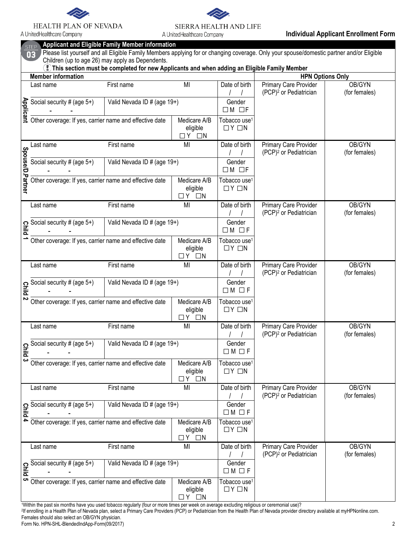

## HEALTH PLAN OF NEVADA

A UnitedHealthcare Company



|                  | <b>STEP</b><br>03                                                                | <b>Applicant and Eligible Family Member information</b>                                                                                         |                                                   |                                               | Please list yourself and all Eligible Family Members applying for or changing coverage. Only your spouse/domestic partner and/or Eligible |                         |
|------------------|----------------------------------------------------------------------------------|-------------------------------------------------------------------------------------------------------------------------------------------------|---------------------------------------------------|-----------------------------------------------|-------------------------------------------------------------------------------------------------------------------------------------------|-------------------------|
|                  |                                                                                  | Children (up to age 26) may apply as Dependents.<br>This section must be completed for new Applicants and when adding an Eligible Family Member |                                                   |                                               |                                                                                                                                           |                         |
|                  | <b>Member information</b>                                                        |                                                                                                                                                 |                                                   |                                               | <b>HPN Options Only</b>                                                                                                                   |                         |
|                  | Last name                                                                        | First name                                                                                                                                      | MI                                                | Date of birth                                 | Primary Care Provider<br>(PCP) <sup>2</sup> or Pediatrician                                                                               | OB/GYN<br>(for females) |
| <b>Applicant</b> | Social security # (age 5+)                                                       | Valid Nevada ID # (age 19+)                                                                                                                     |                                                   | Gender<br>$\Box M$ $\Box F$                   |                                                                                                                                           |                         |
|                  | Other coverage: If yes, carrier name and effective date                          |                                                                                                                                                 | Medicare A/B<br>eligible<br>$\Box$ Y<br>$\Box N$  | Tobacco use <sup>1</sup><br>$\Box$ Y $\Box$ N |                                                                                                                                           |                         |
|                  | Last name                                                                        | First name                                                                                                                                      | MI                                                | Date of birth                                 | Primary Care Provider<br>(PCP) <sup>2</sup> or Pediatrician                                                                               | OB/GYN<br>(for females) |
|                  | Social security # (age $5+$ )                                                    | Valid Nevada ID # (age 19+)                                                                                                                     |                                                   | Gender<br>$\Box M$ $\Box F$                   |                                                                                                                                           |                         |
| Spouse/D.Partner | Other coverage: If yes, carrier name and effective date                          |                                                                                                                                                 | Medicare A/B<br>eligible<br>ПY<br>$\Box N$        | Tobacco use <sup>1</sup><br>$\Box Y \Box N$   |                                                                                                                                           |                         |
|                  | Last name                                                                        | First name                                                                                                                                      | MI                                                | Date of birth                                 | Primary Care Provider<br>(PCP) <sup>2</sup> or Pediatrician                                                                               | OB/GYN<br>(for females) |
|                  | $\frac{1}{\overline{a}}$ Social security # (age 5+)                              | Valid Nevada ID # (age 19+)                                                                                                                     |                                                   | Gender<br>$\Box M$ $\Box F$                   |                                                                                                                                           |                         |
|                  | Other coverage: If yes, carrier name and effective date                          |                                                                                                                                                 | Medicare A/B<br>eligible<br>ΠY<br>$\Box N$        | Tobacco use <sup>1</sup><br>$\Box Y \Box N$   |                                                                                                                                           |                         |
|                  | Last name                                                                        | First name                                                                                                                                      | MI                                                | Date of birth                                 | Primary Care Provider<br>(PCP) <sup>2</sup> or Pediatrician                                                                               | OB/GYN<br>(for females) |
|                  | $\frac{1}{\frac{1}{\overline{a}}}\frac{\overline{Social security #(age 5+)}}{S}$ | Valid Nevada ID # (age 19+)                                                                                                                     |                                                   | Gender<br>$\Box M$ $\Box F$                   |                                                                                                                                           |                         |
|                  | Other coverage: If yes, carrier name and effective date                          |                                                                                                                                                 | Medicare A/B<br>eligible<br>$\Box$ Y<br>$\Box N$  | Tobacco use <sup>1</sup><br>$\Box Y \Box N$   |                                                                                                                                           |                         |
|                  | Last name                                                                        | First name                                                                                                                                      | MI                                                | Date of birth                                 | Primary Care Provider<br>(PCP) <sup>2</sup> or Pediatrician                                                                               | OB/GYN<br>(for females) |
| <b>Plid</b>      | Social security # (age $5+$ )                                                    | Valid Nevada ID # (age 19+)                                                                                                                     |                                                   | Gender<br>$\Box M \Box F$                     |                                                                                                                                           |                         |
| ပ                | Other coverage: If yes, carrier name and effective date                          |                                                                                                                                                 | Medicare A/B<br>eligible<br>$\Box$ Y<br>$\Box N$  | Tobacco use <sup>1</sup><br>$\Box Y \Box N$   |                                                                                                                                           |                         |
|                  | Last name                                                                        | First name                                                                                                                                      | MI                                                | Date of birth                                 | Primary Care Provider<br>(PCP) <sup>2</sup> or Pediatrician                                                                               | OB/GYN<br>(for females) |
|                  | $\frac{9}{2}$ Social security # (age 5+)                                         | Valid Nevada ID # (age 19+)                                                                                                                     |                                                   | Gender<br>$\Box M \Box F$                     |                                                                                                                                           |                         |
|                  | Other coverage: If yes, carrier name and effective date                          |                                                                                                                                                 | Medicare A/B<br>eligible<br>ΩY<br>$\Box N$        | Tobacco use <sup>1</sup><br>$\Box Y \Box N$   |                                                                                                                                           |                         |
|                  | Last name                                                                        | First name                                                                                                                                      | MI                                                | Date of birth                                 | Primary Care Provider<br>(PCP) <sup>2</sup> or Pediatrician                                                                               | OB/GYN<br>(for females) |
|                  | $\frac{1}{2}$ Social security # (age 5+)                                         | Valid Nevada ID # (age 19+)                                                                                                                     |                                                   | Gender<br>$\Box M \Box F$                     |                                                                                                                                           |                         |
| ပာ               | Other coverage: If yes, carrier name and effective date                          |                                                                                                                                                 | Medicare A/B<br>eligible<br>$\Box$ $Y$ $\Box$ $N$ | Tobacco use <sup>1</sup><br>$\Box Y \Box N$   |                                                                                                                                           |                         |

1Within the past six months have you used tobacco regularly (four or more times per week on average excluding religious or ceremonial use)?

2If enrolling in a Health Plan of Nevada plan, select a Primary Care Providers (PCP) or Pediatrician from the Health Plan of Nevada provider directory available at myHPNonline.com. Females should also select an OB/GYN physician.

Form No. HPN-SHL-BlendedIndApp-Form(09/2017) 2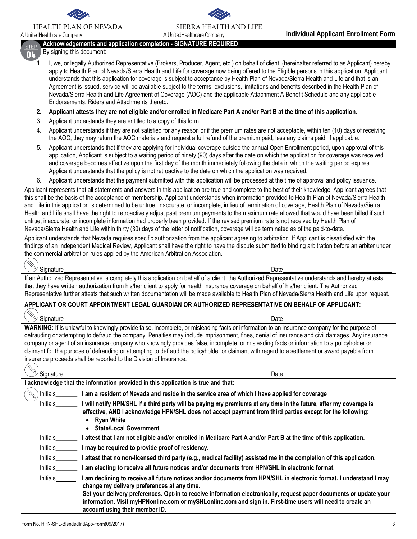

#### **HEALTH PLAN OF NEVADA**

A UnitedHealthcare Company



## **Acknowledgements and application completion - SIGNATURE REQUIRED**

#### By signing this document: n<sub>4</sub>

- 1. I, we, or legally Authorized Representative (Brokers, Producer, Agent, etc.) on behalf of client, (hereinafter referred to as Applicant) hereby apply to Health Plan of Nevada/Sierra Health and Life for coverage now being offered to the Eligible persons in this application. Applicant understands that this application for coverage is subject to acceptance by Health Plan of Nevada/Sierra Health and Life and that is an Agreement is issued, service will be available subject to the terms, exclusions, limitations and benefits described in the Health Plan of Nevada/Sierra Health and Life Agreement of Coverage (AOC) and the applicable Attachment A Benefit Schedule and any applicable Endorsements, Riders and Attachments thereto.
- **2. Applicant attests they are not eligible and/or enrolled in Medicare Part A and/or Part B at the time of this application.**
- 3. Applicant understands they are entitled to a copy of this form.
- 4. Applicant understands if they are not satisfied for any reason or if the premium rates are not acceptable, within ten (10) days of receiving the AOC, they may return the AOC materials and request a full refund of the premium paid, less any claims paid, if applicable.
- 5. Applicant understands that if they are applying for individual coverage outside the annual Open Enrollment period, upon approval of this application, Applicant is subject to a waiting period of ninety (90) days after the date on which the application for coverage was received and coverage becomes effective upon the first day of the month immediately following the date in which the waiting period expires. Applicant understands that the policy is not retroactive to the date on which the application was received.
- 6. Applicant understands that the payment submitted with this application will be processed at the time of approval and policy issuance.

Applicant represents that all statements and answers in this application are true and complete to the best of their knowledge. Applicant agrees that this shall be the basis of the acceptance of membership. Applicant understands when information provided to Health Plan of Nevada/Sierra Health and Life in this application is determined to be untrue, inaccurate, or incomplete, in lieu of termination of coverage, Health Plan of Nevada/Sierra Health and Life shall have the right to retroactively adjust past premium payments to the maximum rate allowed that would have been billed if such untrue, inaccurate, or incomplete information had properly been provided. If the revised premium rate is not received by Health Plan of Nevada/Sierra Health and Life within thirty (30) days of the letter of notification, coverage will be terminated as of the paid-to-date.

Applicant understands that Nevada requires specific authorization from the applicant agreeing to arbitration. If Applicant is dissatisfied with the findings of an Independent Medical Review, Applicant shall have the right to have the dispute submitted to binding arbitration before an arbiter under the commercial arbitration rules applied by the American Arbitration Association.

| ベ                         |                  |      |
|---------------------------|------------------|------|
| ◡                         |                  | Jate |
| $\widetilde{\phantom{m}}$ | <b>Signature</b> |      |

(r.

If an Authorized Representative is completely this application on behalf of a client, the Authorized Representative understands and hereby attests that they have written authorization from his/her client to apply for health insurance coverage on behalf of his/her client. The Authorized Representative further attests that such written documentation will be made available to Health Plan of Nevada/Sierra Health and Life upon request.

## **APPLICANT OR COURT APPOINTMENT LEGAL GUARDIAN OR AUTHORIZED REPRESENTATIVE ON BEHALF OF APPLICANT:**

Signature Date

**WARNING:** If is unlawful to knowingly provide false, incomplete, or misleading facts or information to an insurance company for the purpose of defrauding or attempting to defraud the company. Penalties may include imprisonment, fines, denial of insurance and civil damages. Any insurance company or agent of an insurance company who knowingly provides false, incomplete, or misleading facts or information to a policyholder or claimant for the purpose of defrauding or attempting to defraud the policyholder or claimant with regard to a settlement or award payable from insurance proceeds shall be reported to the Division of Insurance. 〈\\

| ↘<br>Signature | Date                                                                                                                                                                                                                                                                                                                                                                                                                                      |
|----------------|-------------------------------------------------------------------------------------------------------------------------------------------------------------------------------------------------------------------------------------------------------------------------------------------------------------------------------------------------------------------------------------------------------------------------------------------|
|                | l acknowledge that the information provided in this application is true and that:                                                                                                                                                                                                                                                                                                                                                         |
| Initials       | I am a resident of Nevada and reside in the service area of which I have applied for coverage                                                                                                                                                                                                                                                                                                                                             |
| Initials       | I will notify HPN/SHL if a third party will be paying my premiums at any time in the future, after my coverage is<br>effective, AND I acknowledge HPN/SHL does not accept payment from third parties except for the following:<br>Ryan White<br>٠<br><b>State/Local Government</b><br>$\bullet$                                                                                                                                           |
| Initials       | l attest that I am not eligible and/or enrolled in Medicare Part A and/or Part B at the time of this application.                                                                                                                                                                                                                                                                                                                         |
| Initials       | I may be required to provide proof of residency.                                                                                                                                                                                                                                                                                                                                                                                          |
| Initials       | l attest that no non-licensed third party (e.g., medical facility) assisted me in the completion of this application.                                                                                                                                                                                                                                                                                                                     |
| Initials       | I am electing to receive all future notices and/or documents from HPN/SHL in electronic format.                                                                                                                                                                                                                                                                                                                                           |
| Initials       | l am declining to receive all future notices and/or documents from HPN/SHL in electronic format. I understand I may<br>change my delivery preferences at any time.<br>Set your delivery preferences. Opt-in to receive information electronically, request paper documents or update your<br>information. Visit myHPNonline.com or mySHLonline.com and sign in. First-time users will need to create an<br>account using their member ID. |